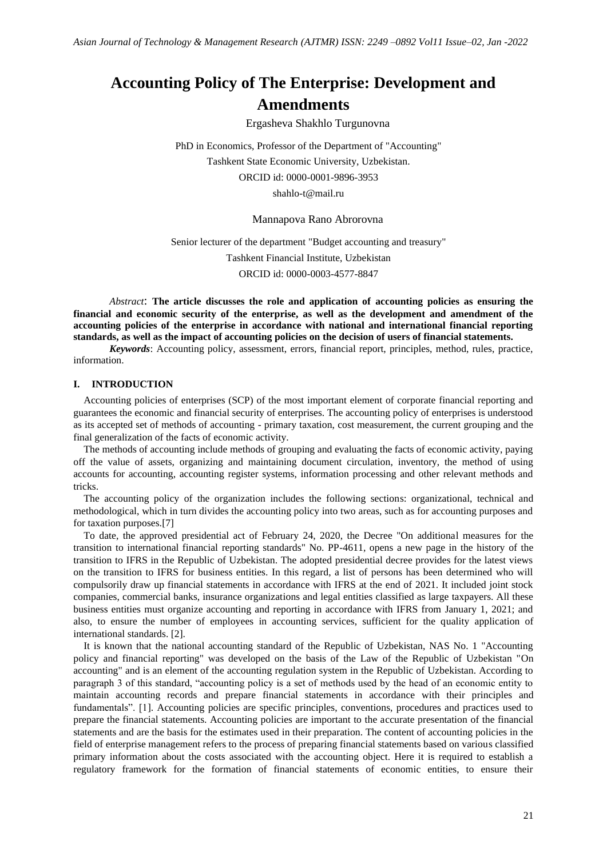# **Accounting Policy of The Enterprise: Development and Amendments**

Ergasheva Shakhlo Turgunovna

PhD in Economics, Professor of the Department of "Accounting" Tashkent State Economic University, Uzbekistan. ORCID id: 0000-0001-9896-3953 shahlo-t@mail.ru

Mannapova Rano Abrorovna

Senior lecturer of the department "Budget accounting and treasury"

Tashkent Financial Institute, Uzbekistan ORCID id: 0000-0003-4577-8847

*Abstract*: **The article discusses the role and application of accounting policies as ensuring the financial and economic security of the enterprise, as well as the development and amendment of the accounting policies of the enterprise in accordance with national and international financial reporting standards, as well as the impact of accounting policies on the decision of users of financial statements.**

*Keywords*: Accounting policy, assessment, errors, financial report, principles, method, rules, practice, information.

## **I. INTRODUCTION**

Accounting policies of enterprises (SCP) of the most important element of corporate financial reporting and guarantees the economic and financial security of enterprises. The accounting policy of enterprises is understood as its accepted set of methods of accounting - primary taxation, cost measurement, the current grouping and the final generalization of the facts of economic activity.

The methods of accounting include methods of grouping and evaluating the facts of economic activity, paying off the value of assets, organizing and maintaining document circulation, inventory, the method of using accounts for accounting, accounting register systems, information processing and other relevant methods and tricks.

The accounting policy of the organization includes the following sections: organizational, technical and methodological, which in turn divides the accounting policy into two areas, such as for accounting purposes and for taxation purposes.[7]

To date, the approved presidential act of February 24, 2020, the Decree "On additional measures for the transition to international financial reporting standards" No. PP-4611, opens a new page in the history of the transition to IFRS in the Republic of Uzbekistan. The adopted presidential decree provides for the latest views on the transition to IFRS for business entities. In this regard, a list of persons has been determined who will compulsorily draw up financial statements in accordance with IFRS at the end of 2021. It included joint stock companies, commercial banks, insurance organizations and legal entities classified as large taxpayers. All these business entities must organize accounting and reporting in accordance with IFRS from January 1, 2021; and also, to ensure the number of employees in accounting services, sufficient for the quality application of international standards. [2].

It is known that the national accounting standard of the Republic of Uzbekistan, NAS No. 1 "Accounting policy and financial reporting" was developed on the basis of the Law of the Republic of Uzbekistan "On accounting" and is an element of the accounting regulation system in the Republic of Uzbekistan. According to paragraph 3 of this standard, "accounting policy is a set of methods used by the head of an economic entity to maintain accounting records and prepare financial statements in accordance with their principles and fundamentals". [1]. Accounting policies are specific principles, conventions, procedures and practices used to prepare the financial statements. Accounting policies are important to the accurate presentation of the financial statements and are the basis for the estimates used in their preparation. The content of accounting policies in the field of enterprise management refers to the process of preparing financial statements based on various classified primary information about the costs associated with the accounting object. Here it is required to establish a regulatory framework for the formation of financial statements of economic entities, to ensure their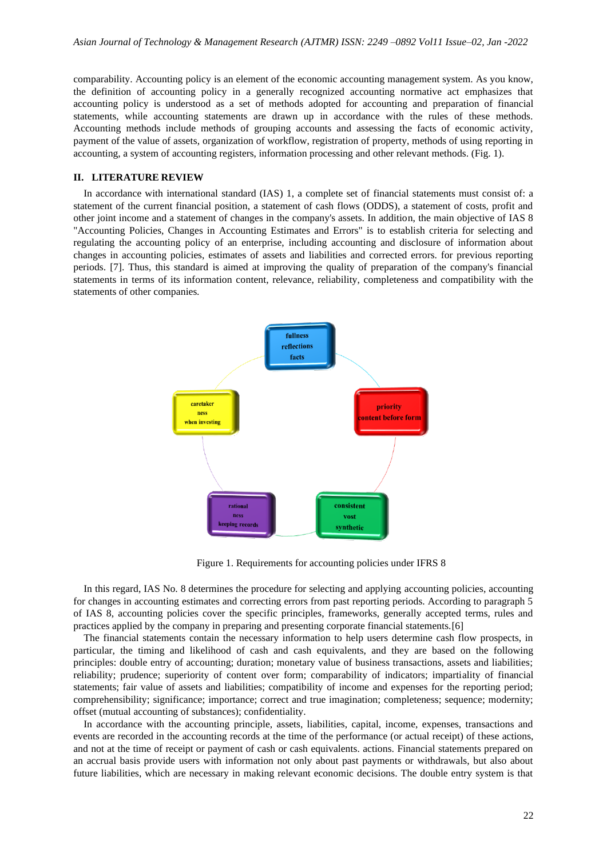comparability. Accounting policy is an element of the economic accounting management system. As you know, the definition of accounting policy in a generally recognized accounting normative act emphasizes that accounting policy is understood as a set of methods adopted for accounting and preparation of financial statements, while accounting statements are drawn up in accordance with the rules of these methods. Accounting methods include methods of grouping accounts and assessing the facts of economic activity, payment of the value of assets, organization of workflow, registration of property, methods of using reporting in accounting, a system of accounting registers, information processing and other relevant methods. (Fig. 1).

## **II. LITERATURE REVIEW**

In accordance with international standard (IAS) 1, a complete set of financial statements must consist of: a statement of the current financial position, a statement of cash flows (ODDS), a statement of costs, profit and other joint income and a statement of changes in the company's assets. In addition, the main objective of IAS 8 "Accounting Policies, Changes in Accounting Estimates and Errors" is to establish criteria for selecting and regulating the accounting policy of an enterprise, including accounting and disclosure of information about changes in accounting policies, estimates of assets and liabilities and corrected errors. for previous reporting periods. [7]. Thus, this standard is aimed at improving the quality of preparation of the company's financial statements in terms of its information content, relevance, reliability, completeness and compatibility with the statements of other companies.



Figure 1. Requirements for accounting policies under IFRS 8

In this regard, IAS No. 8 determines the procedure for selecting and applying accounting policies, accounting for changes in accounting estimates and correcting errors from past reporting periods. According to paragraph 5 of IAS 8, accounting policies cover the specific principles, frameworks, generally accepted terms, rules and practices applied by the company in preparing and presenting corporate financial statements.[6]

The financial statements contain the necessary information to help users determine cash flow prospects, in particular, the timing and likelihood of cash and cash equivalents, and they are based on the following principles: double entry of accounting; duration; monetary value of business transactions, assets and liabilities; reliability; prudence; superiority of content over form; comparability of indicators; impartiality of financial statements; fair value of assets and liabilities; compatibility of income and expenses for the reporting period; comprehensibility; significance; importance; correct and true imagination; completeness; sequence; modernity; offset (mutual accounting of substances); confidentiality.

In accordance with the accounting principle, assets, liabilities, capital, income, expenses, transactions and events are recorded in the accounting records at the time of the performance (or actual receipt) of these actions, and not at the time of receipt or payment of cash or cash equivalents. actions. Financial statements prepared on an accrual basis provide users with information not only about past payments or withdrawals, but also about future liabilities, which are necessary in making relevant economic decisions. The double entry system is that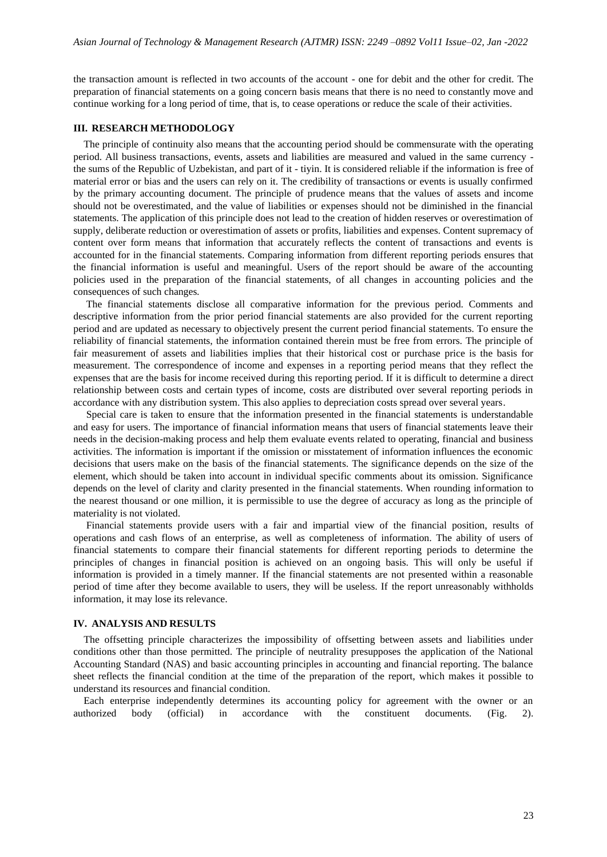the transaction amount is reflected in two accounts of the account - one for debit and the other for credit. The preparation of financial statements on a going concern basis means that there is no need to constantly move and continue working for a long period of time, that is, to cease operations or reduce the scale of their activities.

## **III. RESEARCH METHODOLOGY**

The principle of continuity also means that the accounting period should be commensurate with the operating period. All business transactions, events, assets and liabilities are measured and valued in the same currency the sums of the Republic of Uzbekistan, and part of it - tiyin. It is considered reliable if the information is free of material error or bias and the users can rely on it. The credibility of transactions or events is usually confirmed by the primary accounting document. The principle of prudence means that the values of assets and income should not be overestimated, and the value of liabilities or expenses should not be diminished in the financial statements. The application of this principle does not lead to the creation of hidden reserves or overestimation of supply, deliberate reduction or overestimation of assets or profits, liabilities and expenses. Content supremacy of content over form means that information that accurately reflects the content of transactions and events is accounted for in the financial statements. Comparing information from different reporting periods ensures that the financial information is useful and meaningful. Users of the report should be aware of the accounting policies used in the preparation of the financial statements, of all changes in accounting policies and the consequences of such changes.

The financial statements disclose all comparative information for the previous period. Comments and descriptive information from the prior period financial statements are also provided for the current reporting period and are updated as necessary to objectively present the current period financial statements. To ensure the reliability of financial statements, the information contained therein must be free from errors. The principle of fair measurement of assets and liabilities implies that their historical cost or purchase price is the basis for measurement. The correspondence of income and expenses in a reporting period means that they reflect the expenses that are the basis for income received during this reporting period. If it is difficult to determine a direct relationship between costs and certain types of income, costs are distributed over several reporting periods in accordance with any distribution system. This also applies to depreciation costs spread over several years.

Special care is taken to ensure that the information presented in the financial statements is understandable and easy for users. The importance of financial information means that users of financial statements leave their needs in the decision-making process and help them evaluate events related to operating, financial and business activities. The information is important if the omission or misstatement of information influences the economic decisions that users make on the basis of the financial statements. The significance depends on the size of the element, which should be taken into account in individual specific comments about its omission. Significance depends on the level of clarity and clarity presented in the financial statements. When rounding information to the nearest thousand or one million, it is permissible to use the degree of accuracy as long as the principle of materiality is not violated.

Financial statements provide users with a fair and impartial view of the financial position, results of operations and cash flows of an enterprise, as well as completeness of information. The ability of users of financial statements to compare their financial statements for different reporting periods to determine the principles of changes in financial position is achieved on an ongoing basis. This will only be useful if information is provided in a timely manner. If the financial statements are not presented within a reasonable period of time after they become available to users, they will be useless. If the report unreasonably withholds information, it may lose its relevance.

#### **IV. ANALYSIS AND RESULTS**

The offsetting principle characterizes the impossibility of offsetting between assets and liabilities under conditions other than those permitted. The principle of neutrality presupposes the application of the National Accounting Standard (NAS) and basic accounting principles in accounting and financial reporting. The balance sheet reflects the financial condition at the time of the preparation of the report, which makes it possible to understand its resources and financial condition.

Each enterprise independently determines its accounting policy for agreement with the owner or an authorized body (official) in accordance with the constituent documents. (Fig. 2).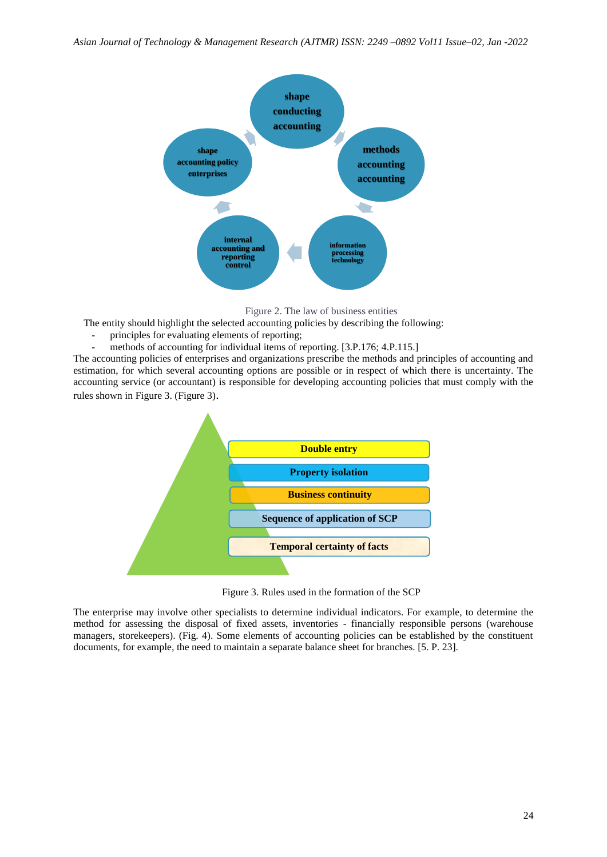

Figure 2. The law of business entities

The entity should highlight the selected accounting policies by describing the following:

- principles for evaluating elements of reporting;
- methods of accounting for individual items of reporting. [3.P.176; 4.P.115.]

The accounting policies of enterprises and organizations prescribe the methods and principles of accounting and estimation, for which several accounting options are possible or in respect of which there is uncertainty. The accounting service (or accountant) is responsible for developing accounting policies that must comply with the rules shown in Figure 3. (Figure 3).



Figure 3. Rules used in the formation of the SCP

The enterprise may involve other specialists to determine individual indicators. For example, to determine the method for assessing the disposal of fixed assets, inventories - financially responsible persons (warehouse managers, storekeepers). (Fig. 4). Some elements of accounting policies can be established by the constituent documents, for example, the need to maintain a separate balance sheet for branches. [5. P. 23].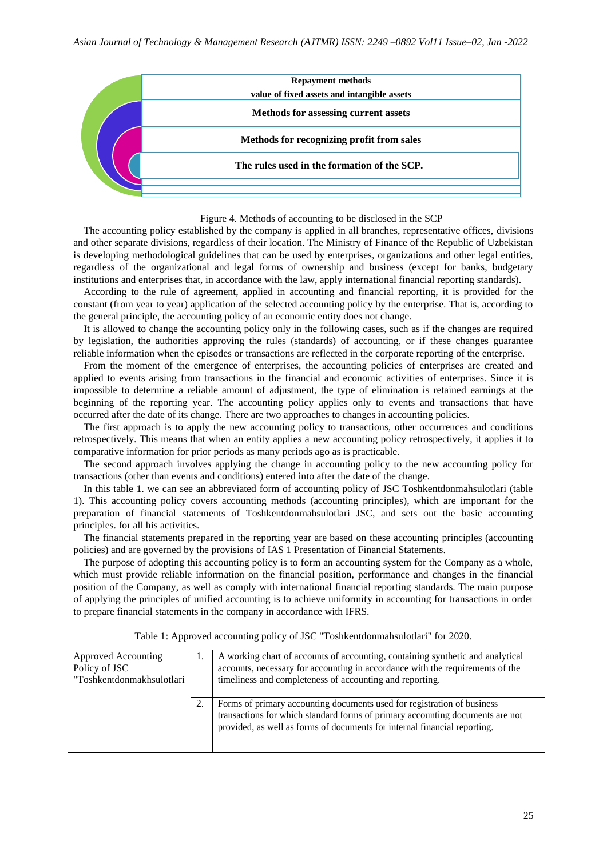

Figure 4. Methods of accounting to be disclosed in the SCP

The accounting policy established by the company is applied in all branches, representative offices, divisions and other separate divisions, regardless of their location. The Ministry of Finance of the Republic of Uzbekistan is developing methodological guidelines that can be used by enterprises, organizations and other legal entities, regardless of the organizational and legal forms of ownership and business (except for banks, budgetary institutions and enterprises that, in accordance with the law, apply international financial reporting standards).

According to the rule of agreement, applied in accounting and financial reporting, it is provided for the constant (from year to year) application of the selected accounting policy by the enterprise. That is, according to the general principle, the accounting policy of an economic entity does not change.

It is allowed to change the accounting policy only in the following cases, such as if the changes are required by legislation, the authorities approving the rules (standards) of accounting, or if these changes guarantee reliable information when the episodes or transactions are reflected in the corporate reporting of the enterprise.

From the moment of the emergence of enterprises, the accounting policies of enterprises are created and applied to events arising from transactions in the financial and economic activities of enterprises. Since it is impossible to determine a reliable amount of adjustment, the type of elimination is retained earnings at the beginning of the reporting year. The accounting policy applies only to events and transactions that have occurred after the date of its change. There are two approaches to changes in accounting policies.

The first approach is to apply the new accounting policy to transactions, other occurrences and conditions retrospectively. This means that when an entity applies a new accounting policy retrospectively, it applies it to comparative information for prior periods as many periods ago as is practicable.

The second approach involves applying the change in accounting policy to the new accounting policy for transactions (other than events and conditions) entered into after the date of the change.

In this table 1. we can see an abbreviated form of accounting policy of JSC Toshkentdonmahsulotlari (table 1). This accounting policy covers accounting methods (accounting principles), which are important for the preparation of financial statements of Toshkentdonmahsulotlari JSC, and sets out the basic accounting principles. for all his activities.

The financial statements prepared in the reporting year are based on these accounting principles (accounting policies) and are governed by the provisions of IAS 1 Presentation of Financial Statements.

The purpose of adopting this accounting policy is to form an accounting system for the Company as a whole, which must provide reliable information on the financial position, performance and changes in the financial position of the Company, as well as comply with international financial reporting standards. The main purpose of applying the principles of unified accounting is to achieve uniformity in accounting for transactions in order to prepare financial statements in the company in accordance with IFRS.

| Approved Accounting<br>Policy of JSC<br>"Toshkentdonmakhsulotlari | A working chart of accounts of accounting, containing synthetic and analytical<br>accounts, necessary for accounting in accordance with the requirements of the<br>timeliness and completeness of accounting and reporting.           |
|-------------------------------------------------------------------|---------------------------------------------------------------------------------------------------------------------------------------------------------------------------------------------------------------------------------------|
|                                                                   | Forms of primary accounting documents used for registration of business<br>transactions for which standard forms of primary accounting documents are not<br>provided, as well as forms of documents for internal financial reporting. |

Table 1: Approved accounting policy of JSC "Toshkentdonmahsulotlari" for 2020.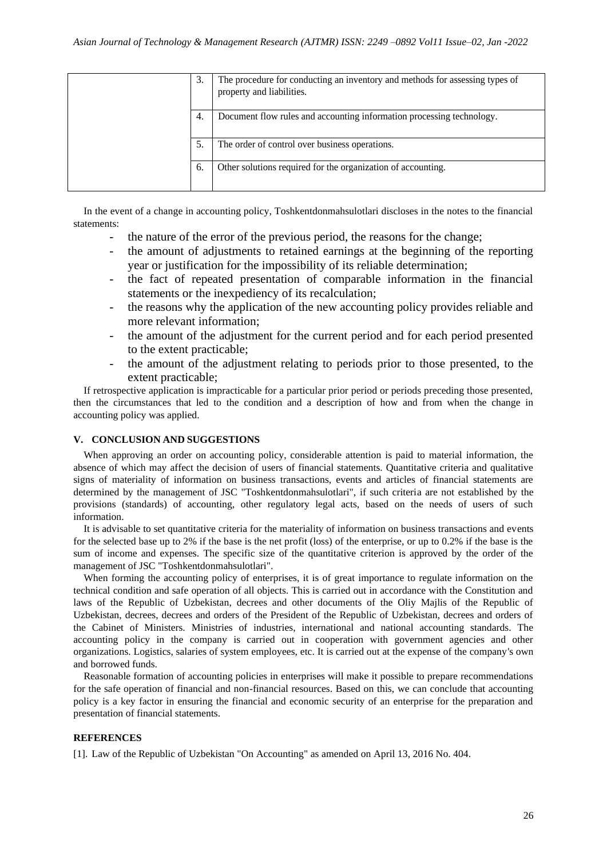| 3. | The procedure for conducting an inventory and methods for assessing types of<br>property and liabilities. |
|----|-----------------------------------------------------------------------------------------------------------|
| 4. | Document flow rules and accounting information processing technology.                                     |
| 5  | The order of control over business operations.                                                            |
| 6. | Other solutions required for the organization of accounting.                                              |

In the event of a change in accounting policy, Toshkentdonmahsulotlari discloses in the notes to the financial statements:

- the nature of the error of the previous period, the reasons for the change;
- the amount of adjustments to retained earnings at the beginning of the reporting year or justification for the impossibility of its reliable determination;
- the fact of repeated presentation of comparable information in the financial statements or the inexpediency of its recalculation;
- the reasons why the application of the new accounting policy provides reliable and more relevant information;
- the amount of the adjustment for the current period and for each period presented to the extent practicable;
- the amount of the adjustment relating to periods prior to those presented, to the extent practicable;

If retrospective application is impracticable for a particular prior period or periods preceding those presented, then the circumstances that led to the condition and a description of how and from when the change in accounting policy was applied.

## **V. CONCLUSION AND SUGGESTIONS**

When approving an order on accounting policy, considerable attention is paid to material information, the absence of which may affect the decision of users of financial statements. Quantitative criteria and qualitative signs of materiality of information on business transactions, events and articles of financial statements are determined by the management of JSC "Toshkentdonmahsulotlari", if such criteria are not established by the provisions (standards) of accounting, other regulatory legal acts, based on the needs of users of such information.

It is advisable to set quantitative criteria for the materiality of information on business transactions and events for the selected base up to 2% if the base is the net profit (loss) of the enterprise, or up to 0.2% if the base is the sum of income and expenses. The specific size of the quantitative criterion is approved by the order of the management of JSC "Toshkentdonmahsulotlari".

When forming the accounting policy of enterprises, it is of great importance to regulate information on the technical condition and safe operation of all objects. This is carried out in accordance with the Constitution and laws of the Republic of Uzbekistan, decrees and other documents of the Oliy Majlis of the Republic of Uzbekistan, decrees, decrees and orders of the President of the Republic of Uzbekistan, decrees and orders of the Cabinet of Ministers. Ministries of industries, international and national accounting standards. The accounting policy in the company is carried out in cooperation with government agencies and other organizations. Logistics, salaries of system employees, etc. It is carried out at the expense of the company's own and borrowed funds.

Reasonable formation of accounting policies in enterprises will make it possible to prepare recommendations for the safe operation of financial and non-financial resources. Based on this, we can conclude that accounting policy is a key factor in ensuring the financial and economic security of an enterprise for the preparation and presentation of financial statements.

#### **REFERENCES**

[1]. Law of the Republic of Uzbekistan "On Accounting" as amended on April 13, 2016 No. 404.